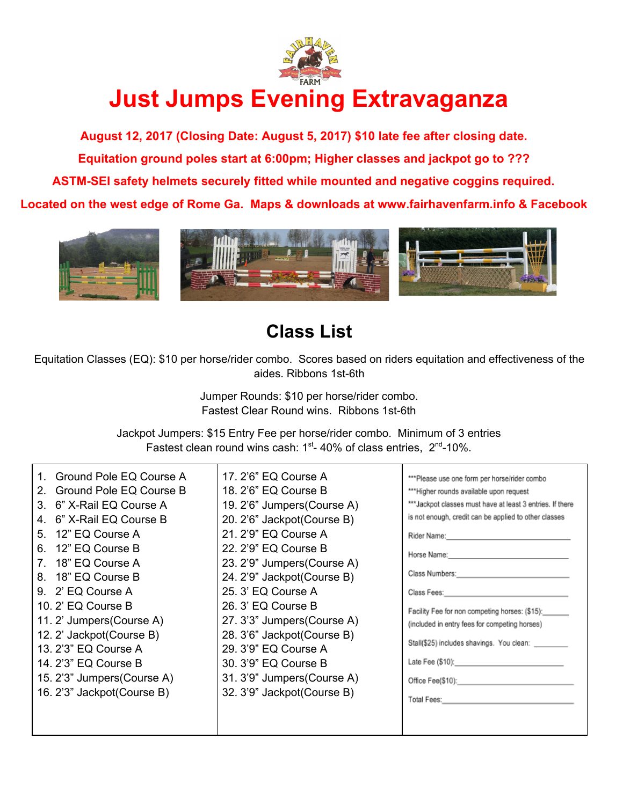

## **Just Jumps Evening Extravaganza**

**August 12, 2017 (Closing Date: August 5, 2017) \$10 late fee after closing date. Equitation ground poles start at 6:00pm; Higher classes and jackpot go to ??? ASTM-SEI safety helmets securely fitted while mounted and negative coggins required. Located on the west edge of Rome Ga. Maps & downloads at www.fairhavenfarm.info & Facebook**



## **Class List**

Equitation Classes (EQ): \$10 per horse/rider combo. Scores based on riders equitation and effectiveness of the aides. Ribbons 1st-6th

> Jumper Rounds: \$10 per horse/rider combo. Fastest Clear Round wins. Ribbons 1st-6th

Jackpot Jumpers: \$15 Entry Fee per horse/rider combo. Minimum of 3 entries Fastest clean round wins cash:  $1<sup>st</sup> - 40%$  of class entries,  $2<sup>nd</sup> - 10%$ .

| Ground Pole EQ Course A       | 17. 2'6" EQ Course A        | ***Please use one form per horse/rider combo                                                                     |
|-------------------------------|-----------------------------|------------------------------------------------------------------------------------------------------------------|
| Ground Pole EQ Course B<br>2. | 18. 2'6" EQ Course B        | *** Higher rounds available upon request                                                                         |
| 6" X-Rail EQ Course A<br>3.   | 19. 2'6" Jumpers (Course A) | *** Jackpot classes must have at least 3 entries. If there                                                       |
| 6" X-Rail EQ Course B<br>4.   | 20. 2'6" Jackpot(Course B)  | is not enough, credit can be applied to other classes                                                            |
| 5. 12" EQ Course A            | 21. 2'9" EQ Course A        |                                                                                                                  |
| 6. 12" EQ Course B            | 22. 2'9" EQ Course B        | Horse Name: 1988 [19] March 1999 [19] March 2014 [19] March 2014 [19] March 2014 [19] March 2014 [19] March 2014 |
| 7. 18" EQ Course A            | 23. 2'9" Jumpers (Course A) |                                                                                                                  |
| 8. 18" EQ Course B            | 24. 2'9" Jackpot (Course B) | Class Numbers: <u>Alexander Alexander Alexander Alexander Alexander</u>                                          |
| 9. 2' EQ Course A             | 25. 3' EQ Course A          | Class Fees: No. 1996. The Class Fees: No. 1996. The Class Fees: No. 1997.                                        |
| 10. 2' EQ Course B            | 26. 3' EQ Course B          | Facility Fee for non competing horses: (\$15): ______                                                            |
| 11. 2' Jumpers (Course A)     | 27. 3'3" Jumpers (Course A) | (included in entry fees for competing horses)                                                                    |
| 12. 2' Jackpot (Course B)     | 28. 3'6" Jackpot (Course B) |                                                                                                                  |
| 13. 2'3" EQ Course A          | 29. 3'9" EQ Course A        | Stall(\$25) includes shavings. You clean:                                                                        |
| 14. 2'3" EQ Course B          | 30. 3'9" EQ Course B        |                                                                                                                  |
| 15. 2'3" Jumpers (Course A)   | 31. 3'9" Jumpers (Course A) |                                                                                                                  |
| 16. 2'3" Jackpot (Course B)   | 32. 3'9" Jackpot (Course B) | Total Fees: No. 1996. Total Pees: No. 1997. Total Pees: No. 1997.                                                |
|                               |                             |                                                                                                                  |
|                               |                             |                                                                                                                  |
|                               |                             |                                                                                                                  |